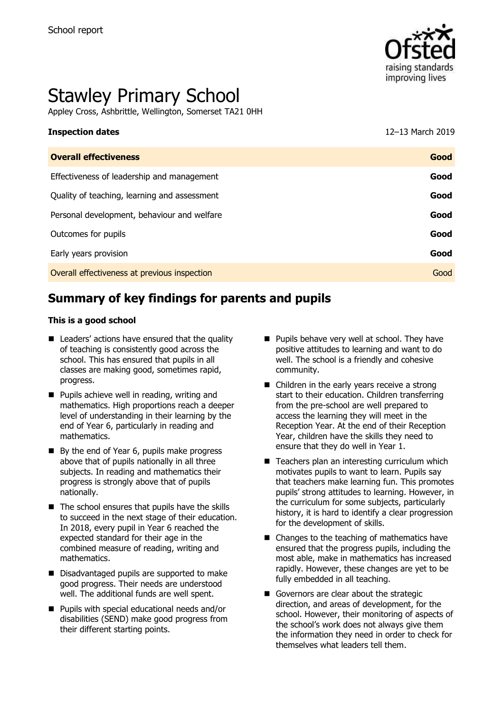

# Stawley Primary School

Appley Cross, Ashbrittle, Wellington, Somerset TA21 0HH

# **Inspection dates** 12–13 March 2019

| <b>Overall effectiveness</b>                 | Good |
|----------------------------------------------|------|
| Effectiveness of leadership and management   | Good |
| Quality of teaching, learning and assessment | Good |
| Personal development, behaviour and welfare  | Good |
| Outcomes for pupils                          | Good |
| Early years provision                        | Good |
| Overall effectiveness at previous inspection | Good |
|                                              |      |

# **Summary of key findings for parents and pupils**

#### **This is a good school**

- Leaders' actions have ensured that the quality of teaching is consistently good across the school. This has ensured that pupils in all classes are making good, sometimes rapid, progress.
- Pupils achieve well in reading, writing and mathematics. High proportions reach a deeper level of understanding in their learning by the end of Year 6, particularly in reading and mathematics.
- By the end of Year 6, pupils make progress above that of pupils nationally in all three subjects. In reading and mathematics their progress is strongly above that of pupils nationally.
- The school ensures that pupils have the skills to succeed in the next stage of their education. In 2018, every pupil in Year 6 reached the expected standard for their age in the combined measure of reading, writing and mathematics.
- Disadvantaged pupils are supported to make good progress. Their needs are understood well. The additional funds are well spent.
- Pupils with special educational needs and/or disabilities (SEND) make good progress from their different starting points.
- Pupils behave very well at school. They have positive attitudes to learning and want to do well. The school is a friendly and cohesive community.
- Children in the early years receive a strong start to their education. Children transferring from the pre-school are well prepared to access the learning they will meet in the Reception Year. At the end of their Reception Year, children have the skills they need to ensure that they do well in Year 1.
- Teachers plan an interesting curriculum which motivates pupils to want to learn. Pupils say that teachers make learning fun. This promotes pupils' strong attitudes to learning. However, in the curriculum for some subjects, particularly history, it is hard to identify a clear progression for the development of skills.
- Changes to the teaching of mathematics have ensured that the progress pupils, including the most able, make in mathematics has increased rapidly. However, these changes are yet to be fully embedded in all teaching.
- Governors are clear about the strategic direction, and areas of development, for the school. However, their monitoring of aspects of the school's work does not always give them the information they need in order to check for themselves what leaders tell them.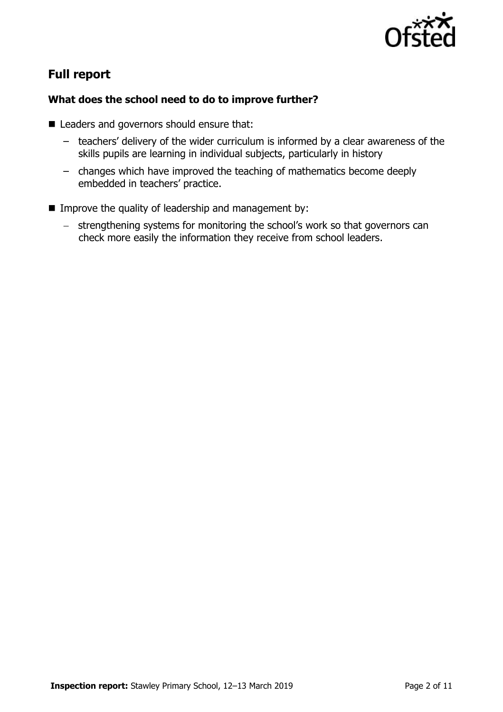

# **Full report**

### **What does the school need to do to improve further?**

- Leaders and governors should ensure that:
	- teachers' delivery of the wider curriculum is informed by a clear awareness of the skills pupils are learning in individual subjects, particularly in history
	- changes which have improved the teaching of mathematics become deeply embedded in teachers' practice.
- Improve the quality of leadership and management by:
	- − strengthening systems for monitoring the school's work so that governors can check more easily the information they receive from school leaders.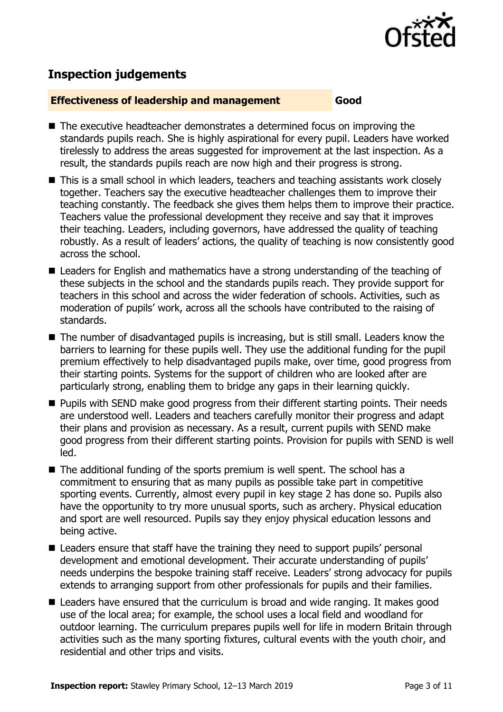

## **Inspection judgements**

#### **Effectiveness of leadership and management Good**

- The executive headteacher demonstrates a determined focus on improving the standards pupils reach. She is highly aspirational for every pupil. Leaders have worked tirelessly to address the areas suggested for improvement at the last inspection. As a result, the standards pupils reach are now high and their progress is strong.
- This is a small school in which leaders, teachers and teaching assistants work closely together. Teachers say the executive headteacher challenges them to improve their teaching constantly. The feedback she gives them helps them to improve their practice. Teachers value the professional development they receive and say that it improves their teaching. Leaders, including governors, have addressed the quality of teaching robustly. As a result of leaders' actions, the quality of teaching is now consistently good across the school.
- Leaders for English and mathematics have a strong understanding of the teaching of these subjects in the school and the standards pupils reach. They provide support for teachers in this school and across the wider federation of schools. Activities, such as moderation of pupils' work, across all the schools have contributed to the raising of standards.
- The number of disadvantaged pupils is increasing, but is still small. Leaders know the barriers to learning for these pupils well. They use the additional funding for the pupil premium effectively to help disadvantaged pupils make, over time, good progress from their starting points. Systems for the support of children who are looked after are particularly strong, enabling them to bridge any gaps in their learning quickly.
- Pupils with SEND make good progress from their different starting points. Their needs are understood well. Leaders and teachers carefully monitor their progress and adapt their plans and provision as necessary. As a result, current pupils with SEND make good progress from their different starting points. Provision for pupils with SEND is well led.
- The additional funding of the sports premium is well spent. The school has a commitment to ensuring that as many pupils as possible take part in competitive sporting events. Currently, almost every pupil in key stage 2 has done so. Pupils also have the opportunity to try more unusual sports, such as archery. Physical education and sport are well resourced. Pupils say they enjoy physical education lessons and being active.
- Leaders ensure that staff have the training they need to support pupils' personal development and emotional development. Their accurate understanding of pupils' needs underpins the bespoke training staff receive. Leaders' strong advocacy for pupils extends to arranging support from other professionals for pupils and their families.
- Leaders have ensured that the curriculum is broad and wide ranging. It makes good use of the local area; for example, the school uses a local field and woodland for outdoor learning. The curriculum prepares pupils well for life in modern Britain through activities such as the many sporting fixtures, cultural events with the youth choir, and residential and other trips and visits.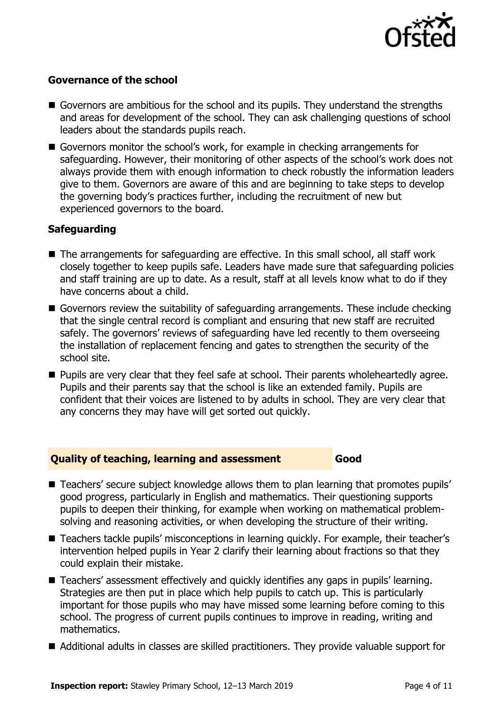

### **Governance of the school**

- Governors are ambitious for the school and its pupils. They understand the strengths and areas for development of the school. They can ask challenging questions of school leaders about the standards pupils reach.
- Governors monitor the school's work, for example in checking arrangements for safeguarding. However, their monitoring of other aspects of the school's work does not always provide them with enough information to check robustly the information leaders give to them. Governors are aware of this and are beginning to take steps to develop the governing body's practices further, including the recruitment of new but experienced governors to the board.

### **Safeguarding**

- The arrangements for safeguarding are effective. In this small school, all staff work closely together to keep pupils safe. Leaders have made sure that safeguarding policies and staff training are up to date. As a result, staff at all levels know what to do if they have concerns about a child.
- Governors review the suitability of safeguarding arrangements. These include checking that the single central record is compliant and ensuring that new staff are recruited safely. The governors' reviews of safeguarding have led recently to them overseeing the installation of replacement fencing and gates to strengthen the security of the school site.
- Pupils are very clear that they feel safe at school. Their parents wholeheartedly agree. Pupils and their parents say that the school is like an extended family. Pupils are confident that their voices are listened to by adults in school. They are very clear that any concerns they may have will get sorted out quickly.

#### **Quality of teaching, learning and assessment Good**

- Teachers' secure subject knowledge allows them to plan learning that promotes pupils' good progress, particularly in English and mathematics. Their questioning supports pupils to deepen their thinking, for example when working on mathematical problemsolving and reasoning activities, or when developing the structure of their writing.
- Teachers tackle pupils' misconceptions in learning quickly. For example, their teacher's intervention helped pupils in Year 2 clarify their learning about fractions so that they could explain their mistake.
- Teachers' assessment effectively and quickly identifies any gaps in pupils' learning. Strategies are then put in place which help pupils to catch up. This is particularly important for those pupils who may have missed some learning before coming to this school. The progress of current pupils continues to improve in reading, writing and mathematics.
- Additional adults in classes are skilled practitioners. They provide valuable support for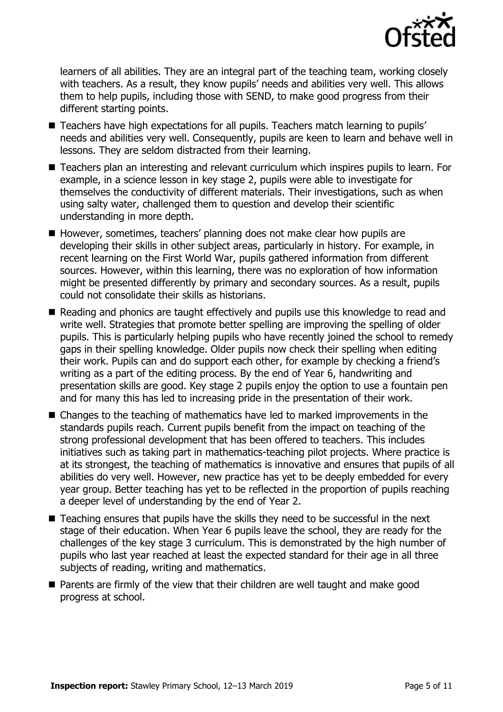

learners of all abilities. They are an integral part of the teaching team, working closely with teachers. As a result, they know pupils' needs and abilities very well. This allows them to help pupils, including those with SEND, to make good progress from their different starting points.

- Teachers have high expectations for all pupils. Teachers match learning to pupils' needs and abilities very well. Consequently, pupils are keen to learn and behave well in lessons. They are seldom distracted from their learning.
- Teachers plan an interesting and relevant curriculum which inspires pupils to learn. For example, in a science lesson in key stage 2, pupils were able to investigate for themselves the conductivity of different materials. Their investigations, such as when using salty water, challenged them to question and develop their scientific understanding in more depth.
- However, sometimes, teachers' planning does not make clear how pupils are developing their skills in other subject areas, particularly in history. For example, in recent learning on the First World War, pupils gathered information from different sources. However, within this learning, there was no exploration of how information might be presented differently by primary and secondary sources. As a result, pupils could not consolidate their skills as historians.
- Reading and phonics are taught effectively and pupils use this knowledge to read and write well. Strategies that promote better spelling are improving the spelling of older pupils. This is particularly helping pupils who have recently joined the school to remedy gaps in their spelling knowledge. Older pupils now check their spelling when editing their work. Pupils can and do support each other, for example by checking a friend's writing as a part of the editing process. By the end of Year 6, handwriting and presentation skills are good. Key stage 2 pupils enjoy the option to use a fountain pen and for many this has led to increasing pride in the presentation of their work.
- Changes to the teaching of mathematics have led to marked improvements in the standards pupils reach. Current pupils benefit from the impact on teaching of the strong professional development that has been offered to teachers. This includes initiatives such as taking part in mathematics-teaching pilot projects. Where practice is at its strongest, the teaching of mathematics is innovative and ensures that pupils of all abilities do very well. However, new practice has yet to be deeply embedded for every year group. Better teaching has yet to be reflected in the proportion of pupils reaching a deeper level of understanding by the end of Year 2.
- Teaching ensures that pupils have the skills they need to be successful in the next stage of their education. When Year 6 pupils leave the school, they are ready for the challenges of the key stage 3 curriculum. This is demonstrated by the high number of pupils who last year reached at least the expected standard for their age in all three subjects of reading, writing and mathematics.
- Parents are firmly of the view that their children are well taught and make good progress at school.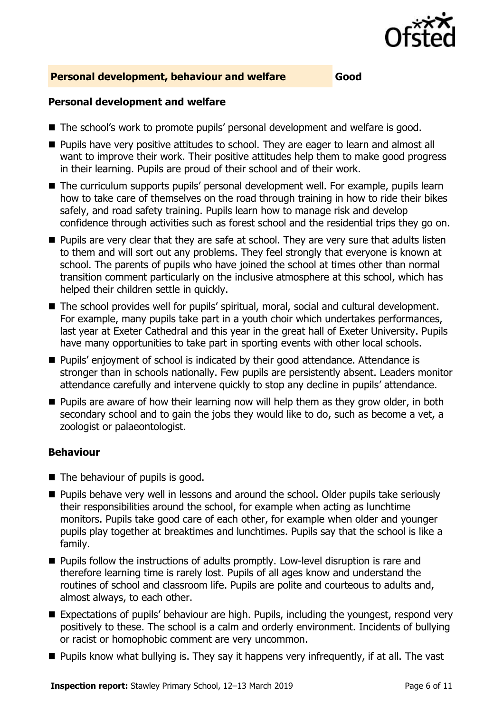

#### **Personal development, behaviour and welfare Good**

#### **Personal development and welfare**

- The school's work to promote pupils' personal development and welfare is good.
- Pupils have very positive attitudes to school. They are eager to learn and almost all want to improve their work. Their positive attitudes help them to make good progress in their learning. Pupils are proud of their school and of their work.
- The curriculum supports pupils' personal development well. For example, pupils learn how to take care of themselves on the road through training in how to ride their bikes safely, and road safety training. Pupils learn how to manage risk and develop confidence through activities such as forest school and the residential trips they go on.
- Pupils are very clear that they are safe at school. They are very sure that adults listen to them and will sort out any problems. They feel strongly that everyone is known at school. The parents of pupils who have joined the school at times other than normal transition comment particularly on the inclusive atmosphere at this school, which has helped their children settle in quickly.
- The school provides well for pupils' spiritual, moral, social and cultural development. For example, many pupils take part in a youth choir which undertakes performances, last year at Exeter Cathedral and this year in the great hall of Exeter University. Pupils have many opportunities to take part in sporting events with other local schools.
- Pupils' enjoyment of school is indicated by their good attendance. Attendance is stronger than in schools nationally. Few pupils are persistently absent. Leaders monitor attendance carefully and intervene quickly to stop any decline in pupils' attendance.
- Pupils are aware of how their learning now will help them as they grow older, in both secondary school and to gain the jobs they would like to do, such as become a vet, a zoologist or palaeontologist.

#### **Behaviour**

- The behaviour of pupils is good.
- Pupils behave very well in lessons and around the school. Older pupils take seriously their responsibilities around the school, for example when acting as lunchtime monitors. Pupils take good care of each other, for example when older and younger pupils play together at breaktimes and lunchtimes. Pupils say that the school is like a family.
- Pupils follow the instructions of adults promptly. Low-level disruption is rare and therefore learning time is rarely lost. Pupils of all ages know and understand the routines of school and classroom life. Pupils are polite and courteous to adults and, almost always, to each other.
- Expectations of pupils' behaviour are high. Pupils, including the youngest, respond very positively to these. The school is a calm and orderly environment. Incidents of bullying or racist or homophobic comment are very uncommon.
- Pupils know what bullying is. They say it happens very infrequently, if at all. The vast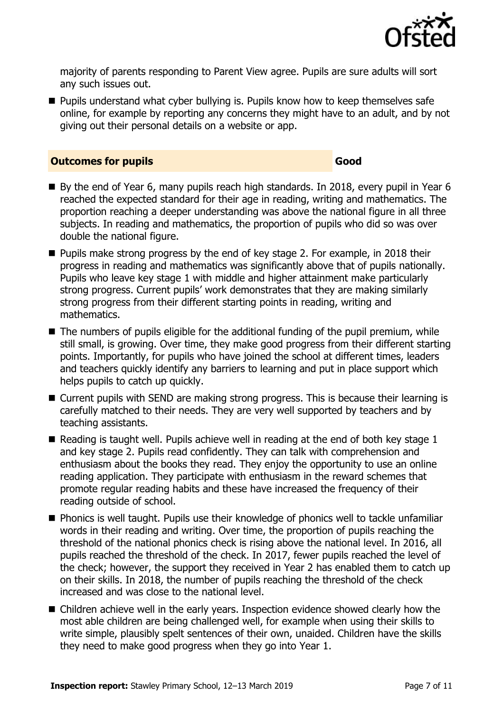

majority of parents responding to Parent View agree. Pupils are sure adults will sort any such issues out.

■ Pupils understand what cyber bullying is. Pupils know how to keep themselves safe online, for example by reporting any concerns they might have to an adult, and by not giving out their personal details on a website or app.

#### **Outcomes for pupils Good Good**

- By the end of Year 6, many pupils reach high standards. In 2018, every pupil in Year 6 reached the expected standard for their age in reading, writing and mathematics. The proportion reaching a deeper understanding was above the national figure in all three subjects. In reading and mathematics, the proportion of pupils who did so was over double the national figure.
- Pupils make strong progress by the end of key stage 2. For example, in 2018 their progress in reading and mathematics was significantly above that of pupils nationally. Pupils who leave key stage 1 with middle and higher attainment make particularly strong progress. Current pupils' work demonstrates that they are making similarly strong progress from their different starting points in reading, writing and mathematics.
- The numbers of pupils eligible for the additional funding of the pupil premium, while still small, is growing. Over time, they make good progress from their different starting points. Importantly, for pupils who have joined the school at different times, leaders and teachers quickly identify any barriers to learning and put in place support which helps pupils to catch up quickly.
- Current pupils with SEND are making strong progress. This is because their learning is carefully matched to their needs. They are very well supported by teachers and by teaching assistants.
- $\blacksquare$  Reading is taught well. Pupils achieve well in reading at the end of both key stage 1 and key stage 2. Pupils read confidently. They can talk with comprehension and enthusiasm about the books they read. They enjoy the opportunity to use an online reading application. They participate with enthusiasm in the reward schemes that promote regular reading habits and these have increased the frequency of their reading outside of school.
- Phonics is well taught. Pupils use their knowledge of phonics well to tackle unfamiliar words in their reading and writing. Over time, the proportion of pupils reaching the threshold of the national phonics check is rising above the national level. In 2016, all pupils reached the threshold of the check. In 2017, fewer pupils reached the level of the check; however, the support they received in Year 2 has enabled them to catch up on their skills. In 2018, the number of pupils reaching the threshold of the check increased and was close to the national level.
- Children achieve well in the early years. Inspection evidence showed clearly how the most able children are being challenged well, for example when using their skills to write simple, plausibly spelt sentences of their own, unaided. Children have the skills they need to make good progress when they go into Year 1.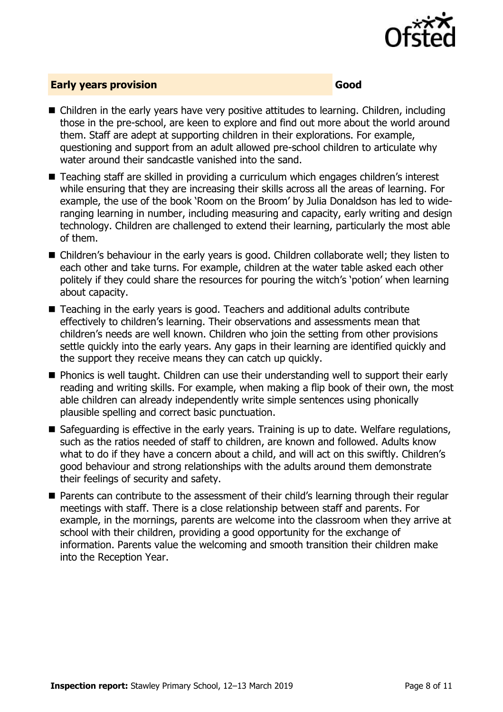

#### **Early years provision Good Good**

- Children in the early years have very positive attitudes to learning. Children, including those in the pre-school, are keen to explore and find out more about the world around them. Staff are adept at supporting children in their explorations. For example, questioning and support from an adult allowed pre-school children to articulate why water around their sandcastle vanished into the sand.
- Teaching staff are skilled in providing a curriculum which engages children's interest while ensuring that they are increasing their skills across all the areas of learning. For example, the use of the book 'Room on the Broom' by Julia Donaldson has led to wideranging learning in number, including measuring and capacity, early writing and design technology. Children are challenged to extend their learning, particularly the most able of them.
- Children's behaviour in the early years is good. Children collaborate well; they listen to each other and take turns. For example, children at the water table asked each other politely if they could share the resources for pouring the witch's 'potion' when learning about capacity.
- Teaching in the early years is good. Teachers and additional adults contribute effectively to children's learning. Their observations and assessments mean that children's needs are well known. Children who join the setting from other provisions settle quickly into the early years. Any gaps in their learning are identified quickly and the support they receive means they can catch up quickly.
- Phonics is well taught. Children can use their understanding well to support their early reading and writing skills. For example, when making a flip book of their own, the most able children can already independently write simple sentences using phonically plausible spelling and correct basic punctuation.
- Safeguarding is effective in the early years. Training is up to date. Welfare regulations, such as the ratios needed of staff to children, are known and followed. Adults know what to do if they have a concern about a child, and will act on this swiftly. Children's good behaviour and strong relationships with the adults around them demonstrate their feelings of security and safety.
- Parents can contribute to the assessment of their child's learning through their regular meetings with staff. There is a close relationship between staff and parents. For example, in the mornings, parents are welcome into the classroom when they arrive at school with their children, providing a good opportunity for the exchange of information. Parents value the welcoming and smooth transition their children make into the Reception Year.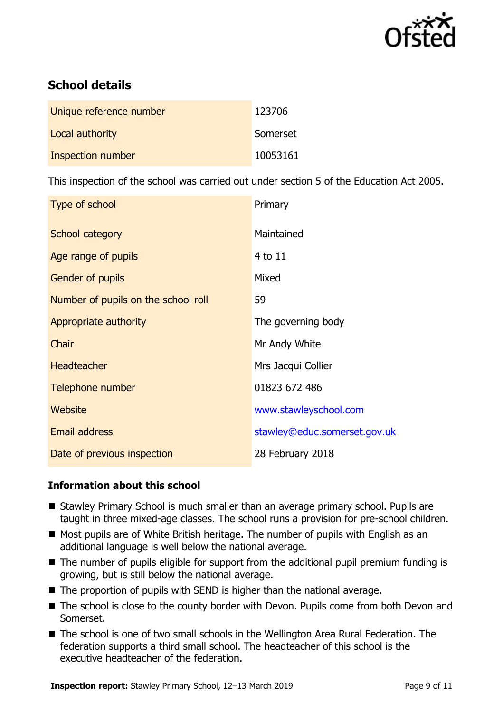

# **School details**

| Unique reference number  | 123706   |
|--------------------------|----------|
| Local authority          | Somerset |
| <b>Inspection number</b> | 10053161 |

This inspection of the school was carried out under section 5 of the Education Act 2005.

| Type of school                      | Primary                      |
|-------------------------------------|------------------------------|
| School category                     | Maintained                   |
| Age range of pupils                 | 4 to 11                      |
| <b>Gender of pupils</b>             | Mixed                        |
| Number of pupils on the school roll | 59                           |
| Appropriate authority               | The governing body           |
| Chair                               | Mr Andy White                |
| <b>Headteacher</b>                  | Mrs Jacqui Collier           |
| Telephone number                    | 01823 672 486                |
| Website                             | www.stawleyschool.com        |
| <b>Email address</b>                | stawley@educ.somerset.gov.uk |
| Date of previous inspection         | 28 February 2018             |

### **Information about this school**

- Stawley Primary School is much smaller than an average primary school. Pupils are taught in three mixed-age classes. The school runs a provision for pre-school children.
- Most pupils are of White British heritage. The number of pupils with English as an additional language is well below the national average.
- The number of pupils eligible for support from the additional pupil premium funding is growing, but is still below the national average.
- The proportion of pupils with SEND is higher than the national average.
- The school is close to the county border with Devon. Pupils come from both Devon and Somerset.
- The school is one of two small schools in the Wellington Area Rural Federation. The federation supports a third small school. The headteacher of this school is the executive headteacher of the federation.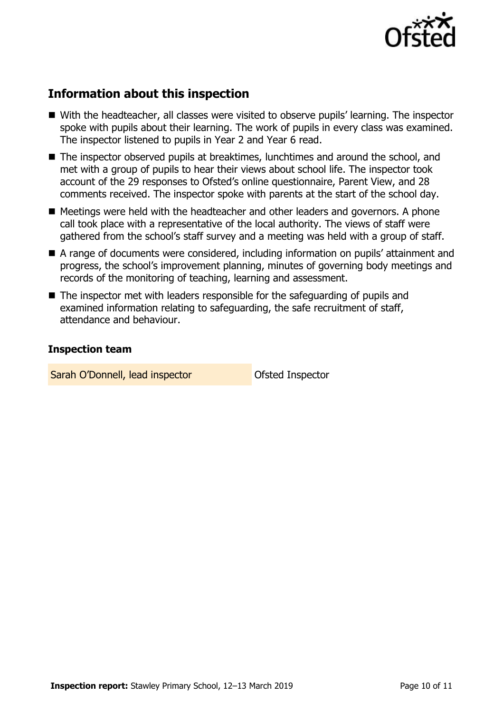

# **Information about this inspection**

- With the headteacher, all classes were visited to observe pupils' learning. The inspector spoke with pupils about their learning. The work of pupils in every class was examined. The inspector listened to pupils in Year 2 and Year 6 read.
- The inspector observed pupils at breaktimes, lunchtimes and around the school, and met with a group of pupils to hear their views about school life. The inspector took account of the 29 responses to Ofsted's online questionnaire, Parent View, and 28 comments received. The inspector spoke with parents at the start of the school day.
- Meetings were held with the headteacher and other leaders and governors. A phone call took place with a representative of the local authority. The views of staff were gathered from the school's staff survey and a meeting was held with a group of staff.
- A range of documents were considered, including information on pupils' attainment and progress, the school's improvement planning, minutes of governing body meetings and records of the monitoring of teaching, learning and assessment.
- The inspector met with leaders responsible for the safeguarding of pupils and examined information relating to safeguarding, the safe recruitment of staff, attendance and behaviour.

#### **Inspection team**

Sarah O'Donnell, lead inspector **Caracter Constanting Constant** O'Sted Inspector